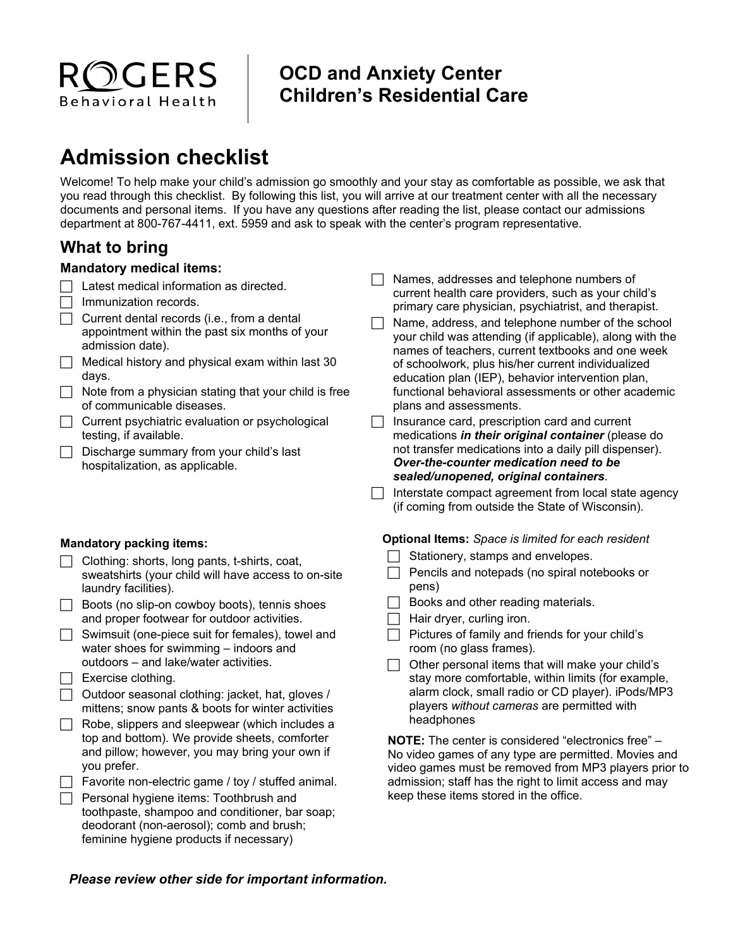

## **OCD and Anxiety Center Children's Residential Care**

# **Admission checklist**

Welcome! To help make your child's admission go smoothly and your stay as comfortable as possible, we ask that you read through this checklist. By following this list, you will arrive at our treatment center with all the necessary documents and personal items. If you have any questions after reading the list, please contact our admissions department at 800-767-4411, ext. 5959 and ask to speak with the center's program representative.

### **What to bring**

#### **Mandatory medical items:**

- $\Box$  Latest medical information as directed.
- $\Box$  Immunization records.
- $\Box$  Current dental records (i.e., from a dental appointment within the past six months of your admission date).
- $\Box$  Medical history and physical exam within last 30 days.
- $\Box$  Note from a physician stating that your child is free of communicable diseases.
- $\Box$  Current psychiatric evaluation or psychological testing, if available.
- $\Box$  Discharge summary from your child's last hospitalization, as applicable.

#### **Mandatory packing items:**

- $\Box$  Clothing: shorts, long pants, t-shirts, coat, sweatshirts (your child will have access to on-site laundry facilities).
- Boots (no slip-on cowboy boots), tennis shoes and proper footwear for outdoor activities.
- $\Box$  Swimsuit (one-piece suit for females), towel and water shoes for swimming – indoors and outdoors – and lake/water activities.
- $\Box$  Exercise clothing.
	- Outdoor seasonal clothing: jacket, hat, gloves / mittens; snow pants & boots for winter activities
- Robe, slippers and sleepwear (which includes a top and bottom). We provide sheets, comforter and pillow; however, you may bring your own if you prefer.
- $\Box$  Favorite non-electric game / toy / stuffed animal.
- $\Box$  Personal hygiene items: Toothbrush and toothpaste, shampoo and conditioner, bar soap; deodorant (non-aerosol); comb and brush; feminine hygiene products if necessary)
- $\Box$  Names, addresses and telephone numbers of current health care providers, such as your child's primary care physician, psychiatrist, and therapist.
- $\Box$  Name, address, and telephone number of the school your child was attending (if applicable), along with the names of teachers, current textbooks and one week of schoolwork, plus his/her current individualized education plan (IEP), behavior intervention plan, functional behavioral assessments or other academic plans and assessments.
- $\Box$  Insurance card, prescription card and current medications *in their original container* (please do not transfer medications into a daily pill dispenser). *Over-the-counter medication need to be sealed/unopened, original containers*.
- $\Box$  Interstate compact agreement from local state agency (if coming from outside the State of Wisconsin)*.*

#### **Optional Items:** *Space is limited for each resident*

- $\Box$  Stationery, stamps and envelopes.
- $\Box$  Pencils and notepads (no spiral notebooks or pens)
- $\Box$  Books and other reading materials.
- $\Box$  Hair dryer, curling iron.
- Pictures of family and friends for your child's room (no glass frames).
- $\Box$  Other personal items that will make your child's stay more comfortable, within limits (for example, alarm clock, small radio or CD player). iPods/MP3 players *without cameras* are permitted with headphones

**NOTE:** The center is considered "electronics free" – No video games of any type are permitted. Movies and video games must be removed from MP3 players prior to admission; staff has the right to limit access and may keep these items stored in the office.

#### *Please review other side for important information.*